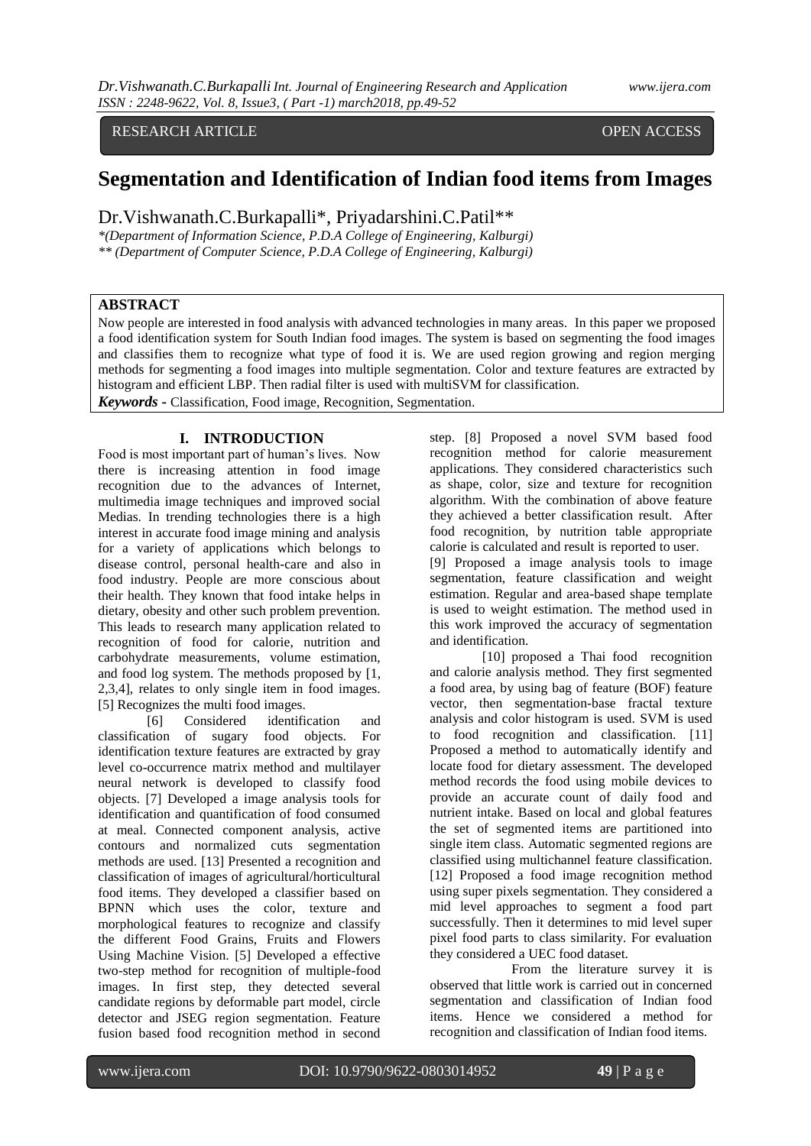# RESEARCH ARTICLE OPEN ACCESS

# **Segmentation and Identification of Indian food items from Images**

Dr.Vishwanath.C.Burkapalli\*, Priyadarshini.C.Patil\*\*

*\*(Department of Information Science, P.D.A College of Engineering, Kalburgi) \*\* (Department of Computer Science, P.D.A College of Engineering, Kalburgi)*

# **ABSTRACT**

Now people are interested in food analysis with advanced technologies in many areas. In this paper we proposed a food identification system for South Indian food images. The system is based on segmenting the food images and classifies them to recognize what type of food it is. We are used region growing and region merging methods for segmenting a food images into multiple segmentation. Color and texture features are extracted by histogram and efficient LBP. Then radial filter is used with multiSVM for classification.

*Keywords* **-** Classification, Food image, Recognition, Segmentation.

## **I. INTRODUCTION**

Food is most important part of human's lives. Now there is increasing attention in food image recognition due to the advances of Internet, multimedia image techniques and improved social Medias. In trending technologies there is a high interest in accurate food image mining and analysis for a variety of applications which belongs to disease control, personal health-care and also in food industry. People are more conscious about their health. They known that food intake helps in dietary, obesity and other such problem prevention. This leads to research many application related to recognition of food for calorie, nutrition and carbohydrate measurements, volume estimation, and food log system. The methods proposed by [1, 2,3,4], relates to only single item in food images. [5] Recognizes the multi food images.

[6] Considered identification and classification of sugary food objects. For identification texture features are extracted by gray level co-occurrence matrix method and multilayer neural network is developed to classify food objects. [7] Developed a image analysis tools for identification and quantification of food consumed at meal. Connected component analysis, active contours and normalized cuts segmentation methods are used. [13] Presented a recognition and classification of images of agricultural/horticultural food items. They developed a classifier based on BPNN which uses the color, texture and morphological features to recognize and classify the different Food Grains, Fruits and Flowers Using Machine Vision. [5] Developed a effective two-step method for recognition of multiple-food images. In first step, they detected several candidate regions by deformable part model, circle detector and JSEG region segmentation. Feature fusion based food recognition method in second

step. [8] Proposed a novel SVM based food recognition method for calorie measurement applications. They considered characteristics such as shape, color, size and texture for recognition algorithm. With the combination of above feature they achieved a better classification result. After food recognition, by nutrition table appropriate calorie is calculated and result is reported to user.

[9] Proposed a image analysis tools to image segmentation, feature classification and weight estimation. Regular and area-based shape template is used to weight estimation. The method used in this work improved the accuracy of segmentation and identification.

[10] proposed a Thai food recognition and calorie analysis method. They first segmented a food area, by using bag of feature (BOF) feature vector, then segmentation-base fractal texture analysis and color histogram is used. SVM is used to food recognition and classification. [11] Proposed a method to automatically identify and locate food for dietary assessment. The developed method records the food using mobile devices to provide an accurate count of daily food and nutrient intake. Based on local and global features the set of segmented items are partitioned into single item class. Automatic segmented regions are classified using multichannel feature classification. [12] Proposed a food image recognition method using super pixels segmentation. They considered a mid level approaches to segment a food part successfully. Then it determines to mid level super pixel food parts to class similarity. For evaluation they considered a UEC food dataset.

 From the literature survey it is observed that little work is carried out in concerned segmentation and classification of Indian food items. Hence we considered a method for recognition and classification of Indian food items.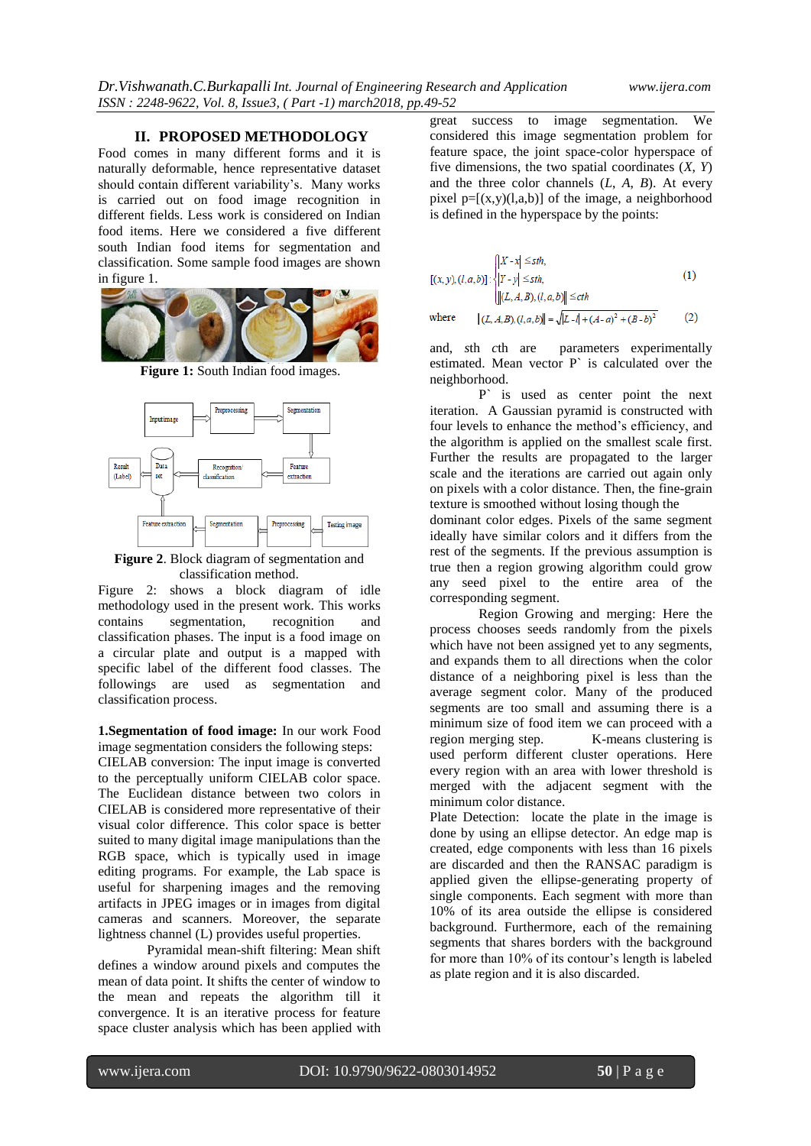#### **II. PROPOSED METHODOLOGY**

Food comes in many different forms and it is naturally deformable, hence representative dataset should contain different variability's. Many works is carried out on food image recognition in different fields. Less work is considered on Indian food items. Here we considered a five different south Indian food items for segmentation and classification. Some sample food images are shown in figure 1.



Figure 1: South Indian food images.



**Figure 2**. Block diagram of segmentation and classification method.

Figure 2: shows a block diagram of idle methodology used in the present work. This works<br>contains segmentation, recognition and contains segmentation, recognition and classification phases. The input is a food image on a circular plate and output is a mapped with specific label of the different food classes. The followings are used as segmentation and classification process.

**1.Segmentation of food image:** In our work Food image segmentation considers the following steps:

CIELAB conversion: The input image is converted to the perceptually uniform CIELAB color space. The Euclidean distance between two colors in CIELAB is considered more representative of their visual color difference. This color space is better suited to many digital image manipulations than the RGB space, which is typically used in image editing programs. For example, the Lab space is useful for sharpening images and the removing artifacts in JPEG images or in images from digital cameras and scanners. Moreover, the separate lightness channel (L) provides useful properties.

Pyramidal mean-shift filtering: Mean shift defines a window around pixels and computes the mean of data point. It shifts the center of window to the mean and repeats the algorithm till it convergence. It is an iterative process for feature space cluster analysis which has been applied with

great success to image segmentation. We considered this image segmentation problem for feature space, the joint space-color hyperspace of five dimensions, the two spatial coordinates (*X*, *Y*) and the three color channels (*L*, *A*, *B*). At every pixel  $p=[(x,y)(l,a,b)]$  of the image, a neighborhood is defined in the hyperspace by the points:

$$
[(x, y), (l, a, b)] : \begin{cases} |X - x| \leq sth, \\ |Y - y| \leq sth, \\ |[(L, A, B), (l, a, b)]| \leq cth \end{cases}
$$
(1)  
where 
$$
||(L, A, B), (l, a, b)|| = \sqrt{|L - 1| + (A - a)^2 + (B - b)^2}
$$
(2)

and, *s*th *c*th are parameters experimentally

estimated. Mean vector P` is calculated over the neighborhood.

P` is used as center point the next iteration. A Gaussian pyramid is constructed with four levels to enhance the method's efficiency, and the algorithm is applied on the smallest scale first. Further the results are propagated to the larger scale and the iterations are carried out again only on pixels with a color distance. Then, the fine-grain texture is smoothed without losing though the dominant color edges. Pixels of the same segment ideally have similar colors and it differs from the rest of the segments. If the previous assumption is true then a region growing algorithm could grow any seed pixel to the entire area of the corresponding segment.

Region Growing and merging: Here the process chooses seeds randomly from the pixels which have not been assigned yet to any segments, and expands them to all directions when the color distance of a neighboring pixel is less than the average segment color. Many of the produced segments are too small and assuming there is a minimum size of food item we can proceed with a region merging step. K-means clustering is used perform different cluster operations. Here every region with an area with lower threshold is merged with the adjacent segment with the minimum color distance.

Plate Detection: locate the plate in the image is done by using an ellipse detector. An edge map is created, edge components with less than 16 pixels are discarded and then the RANSAC paradigm is applied given the ellipse-generating property of single components. Each segment with more than 10% of its area outside the ellipse is considered background. Furthermore, each of the remaining segments that shares borders with the background for more than 10% of its contour's length is labeled as plate region and it is also discarded.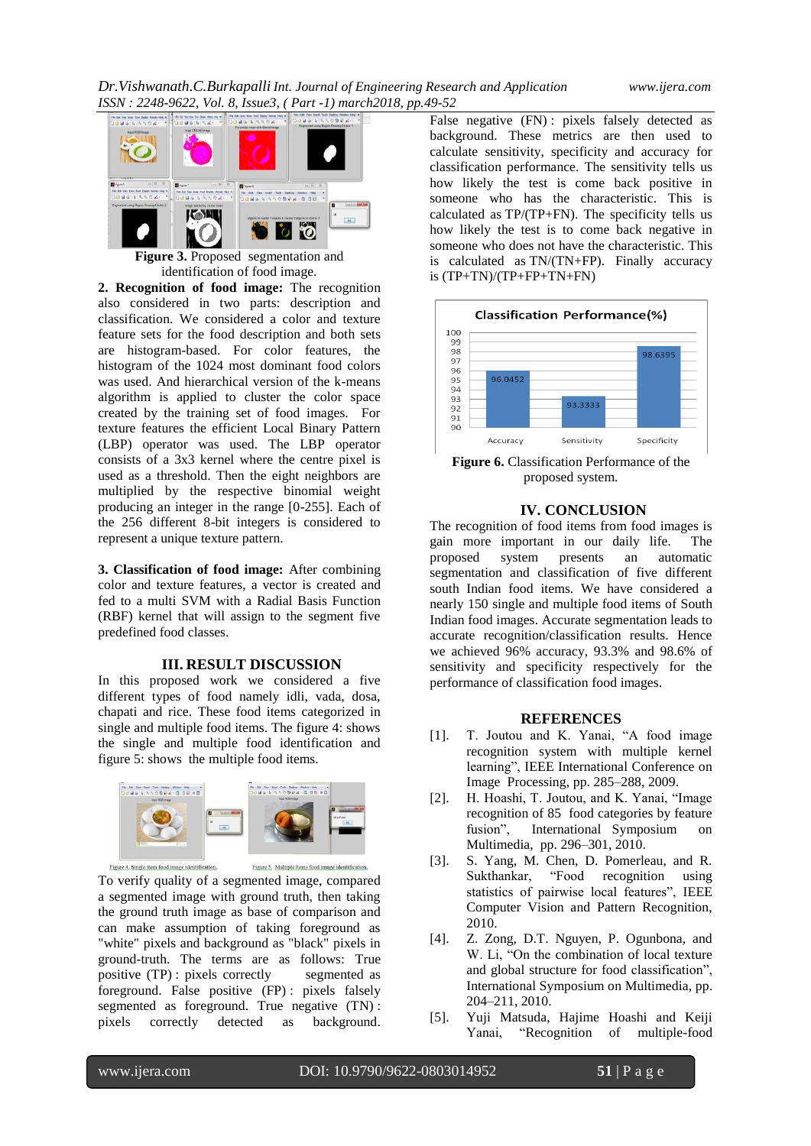

**Figure 3.** Proposed segmentation and identification of food image.

**2. Recognition of food image:** The recognition also considered in two parts: description and classification. We considered a color and texture feature sets for the food description and both sets are histogram-based. For color features, the histogram of the 1024 most dominant food colors was used. And hierarchical version of the k-means algorithm is applied to cluster the color space created by the training set of food images. For texture features the efficient Local Binary Pattern (LBP) operator was used. The LBP operator consists of a 3x3 kernel where the centre pixel is used as a threshold. Then the eight neighbors are multiplied by the respective binomial weight producing an integer in the range [0-255]. Each of the 256 different 8-bit integers is considered to represent a unique texture pattern.

**3. Classification of food image:** After combining color and texture features, a vector is created and fed to a multi SVM with a Radial Basis Function (RBF) kernel that will assign to the segment five predefined food classes.

## **III. RESULT DISCUSSION**

In this proposed work we considered a five different types of food namely idli, vada, dosa, chapati and rice. These food items categorized in single and multiple food items. The figure 4: shows the single and multiple food identification and figure 5: shows the multiple food items.



Figure 4. Single item food image identification.

To verify quality of a segmented image, compared a segmented image with ground truth, then taking the ground truth image as base of comparison and can make assumption of taking foreground as "white" pixels and background as "black" pixels in ground-truth. The terms are as follows: True positive (TP) : pixels correctly segmented as foreground. False positive (FP) : pixels falsely segmented as foreground. True negative  $(TN)$ : pixels correctly detected as background.

False negative (FN) : pixels falsely detected as background. These metrics are then used to calculate sensitivity, specificity and accuracy for classification performance. The sensitivity tells us how likely the test is come back positive in someone who has the characteristic. This is calculated as TP/(TP+FN). The specificity tells us how likely the test is to come back negative in someone who does not have the characteristic. This is calculated as TN/(TN+FP). Finally accuracy is  $(TP+TN)/(TP+FP+TN+FN)$ 



**Figure 6.** Classification Performance of the proposed system.

## **IV. CONCLUSION**

The recognition of food items from food images is gain more important in our daily life. The proposed system presents an automatic segmentation and classification of five different south Indian food items. We have considered a nearly 150 single and multiple food items of South Indian food images. Accurate segmentation leads to accurate recognition/classification results. Hence we achieved 96% accuracy, 93.3% and 98.6% of sensitivity and specificity respectively for the performance of classification food images.

### **REFERENCES**

- [1]. T. Joutou and K. Yanai, "A food image recognition system with multiple kernel learning", IEEE International Conference on Image Processing, pp. 285–288, 2009.
- [2]. H. Hoashi, T. Joutou, and K. Yanai, "Image recognition of 85 food categories by feature fusion", International Symposium on Multimedia, pp. 296–301, 2010.
- [3]. S. Yang, M. Chen, D. Pomerleau, and R. Sukthankar, "Food recognition using statistics of pairwise local features", IEEE Computer Vision and Pattern Recognition, 2010.
- [4]. Z. Zong, D.T. Nguyen, P. Ogunbona, and W. Li, "On the combination of local texture and global structure for food classification", International Symposium on Multimedia, pp. 204–211, 2010.
- [5]. Yuji Matsuda, Hajime Hoashi and Keiji Yanai, "Recognition of multiple-food

Figure 5. Multiple items food image identification.